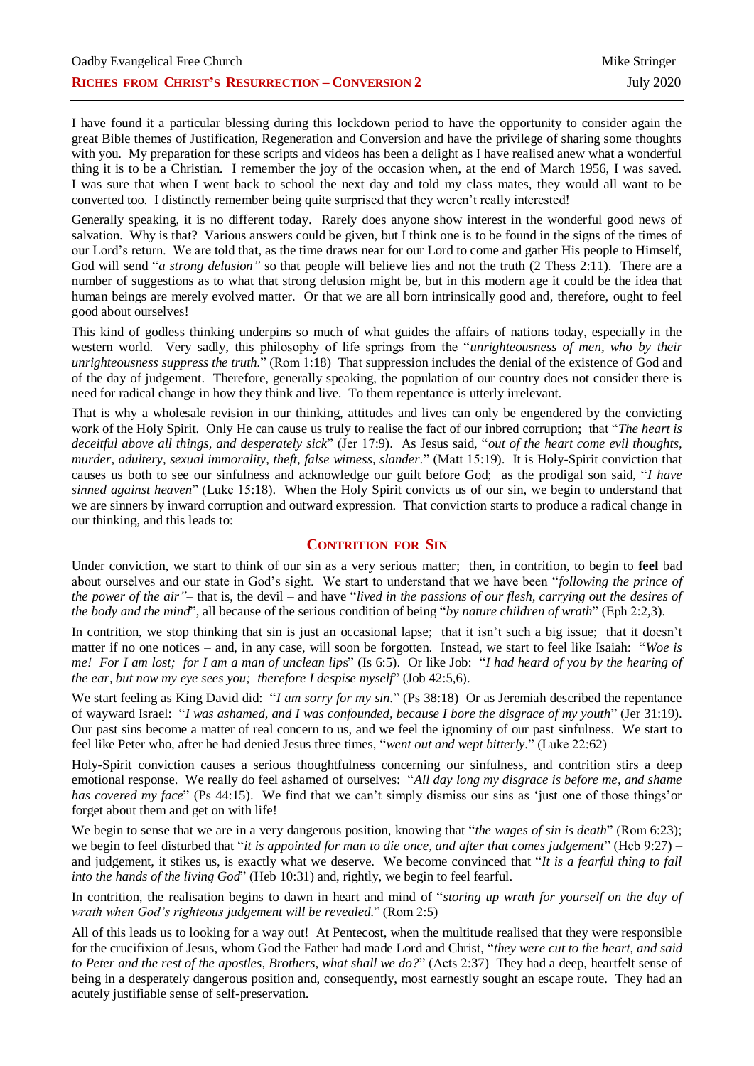I have found it a particular blessing during this lockdown period to have the opportunity to consider again the great Bible themes of Justification, Regeneration and Conversion and have the privilege of sharing some thoughts with you. My preparation for these scripts and videos has been a delight as I have realised anew what a wonderful thing it is to be a Christian. I remember the joy of the occasion when, at the end of March 1956, I was saved. I was sure that when I went back to school the next day and told my class mates, they would all want to be converted too. I distinctly remember being quite surprised that they weren't really interested!

Generally speaking, it is no different today. Rarely does anyone show interest in the wonderful good news of salvation. Why is that? Various answers could be given, but I think one is to be found in the signs of the times of our Lord's return. We are told that, as the time draws near for our Lord to come and gather His people to Himself, God will send "*a strong delusion*" so that people will believe lies and not the truth (2 Thess 2:11). There are a number of suggestions as to what that strong delusion might be, but in this modern age it could be the idea that human beings are merely evolved matter. Or that we are all born intrinsically good and, therefore, ought to feel good about ourselves!

This kind of godless thinking underpins so much of what guides the affairs of nations today, especially in the western world. Very sadly, this philosophy of life springs from the "*unrighteousness of men, who by their unrighteousness suppress the truth.*" (Rom 1:18) That suppression includes the denial of the existence of God and of the day of judgement. Therefore, generally speaking, the population of our country does not consider there is need for radical change in how they think and live. To them repentance is utterly irrelevant.

That is why a wholesale revision in our thinking, attitudes and lives can only be engendered by the convicting work of the Holy Spirit. Only He can cause us truly to realise the fact of our inbred corruption; that "*The heart is deceitful above all things, and desperately sick*" (Jer 17:9). As Jesus said, "*out of the heart come evil thoughts, murder, adultery, sexual immorality, theft, false witness, slander.*" (Matt 15:19). It is Holy-Spirit conviction that causes us both to see our sinfulness and acknowledge our guilt before God; as the prodigal son said, "*I have sinned against heaven*" (Luke 15:18). When the Holy Spirit convicts us of our sin, we begin to understand that we are sinners by inward corruption and outward expression. That conviction starts to produce a radical change in our thinking, and this leads to:

## **CONTRITION FOR SIN**

Under conviction, we start to think of our sin as a very serious matter; then, in contrition, to begin to **feel** bad about ourselves and our state in God's sight. We start to understand that we have been "*following the prince of the power of the air"–* that is, the devil – and have "*lived in the passions of our flesh, carrying out the desires of the body and the mind*", all because of the serious condition of being "*by nature children of wrath*" (Eph 2:2,3).

In contrition, we stop thinking that sin is just an occasional lapse; that it isn't such a big issue; that it doesn't matter if no one notices – and, in any case, will soon be forgotten. Instead, we start to feel like Isaiah: "*Woe is me! For I am lost; for I am a man of unclean lip*s" (Is 6:5). Or like Job: "*I had heard of you by the hearing of the ear, but now my eye sees you; therefore I despise myself*" (Job 42:5,6).

We start feeling as King David did: "*I am sorry for my sin.*" (Ps 38:18) Or as Jeremiah described the repentance of wayward Israel: "*I was ashamed, and I was confounded, because I bore the disgrace of my youth*" (Jer 31:19). Our past sins become a matter of real concern to us, and we feel the ignominy of our past sinfulness. We start to feel like Peter who, after he had denied Jesus three times, "*went out and wept bitterly.*" (Luke 22:62)

Holy-Spirit conviction causes a serious thoughtfulness concerning our sinfulness, and contrition stirs a deep emotional response. We really do feel ashamed of ourselves: "*All day long my disgrace is before me, and shame has covered my face*" (Ps 44:15). We find that we can't simply dismiss our sins as 'just one of those things'or forget about them and get on with life!

We begin to sense that we are in a very dangerous position, knowing that "*the wages of sin is death*" (Rom 6:23); we begin to feel disturbed that "*it is appointed for man to die once, and after that comes judgement*" (Heb 9:27) – and judgement, it stikes us, is exactly what we deserve. We become convinced that "*It is a fearful thing to fall into the hands of the living God*" (Heb 10:31) and, rightly, we begin to feel fearful.

In contrition, the realisation begins to dawn in heart and mind of "*storing up wrath for yourself on the day of wrath when God's righteous judgement will be revealed.*" (Rom 2:5)

All of this leads us to looking for a way out! At Pentecost, when the multitude realised that they were responsible for the crucifixion of Jesus, whom God the Father had made Lord and Christ, "*they were cut to the heart, and said to Peter and the rest of the apostles, Brothers, what shall we do?*" (Acts 2:37) They had a deep, heartfelt sense of being in a desperately dangerous position and, consequently, most earnestly sought an escape route. They had an acutely justifiable sense of self-preservation.